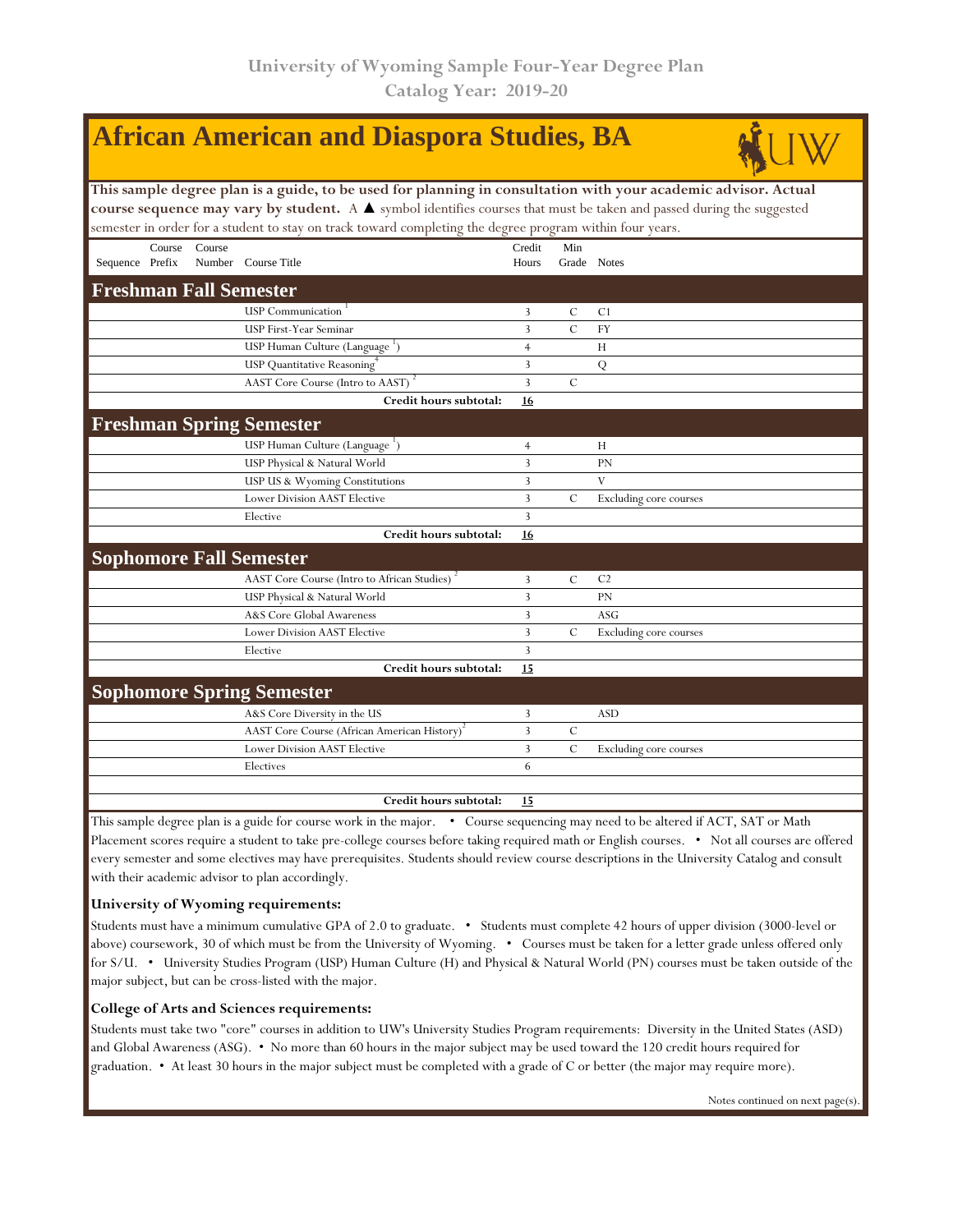|                                                                                                                                        |        |        | <b>African American and Diaspora Studies, BA</b>                                                         |                |                |                        |  |  |  |  |  |  |
|----------------------------------------------------------------------------------------------------------------------------------------|--------|--------|----------------------------------------------------------------------------------------------------------|----------------|----------------|------------------------|--|--|--|--|--|--|
| This sample degree plan is a guide, to be used for planning in consultation with your academic advisor. Actual                         |        |        |                                                                                                          |                |                |                        |  |  |  |  |  |  |
| course sequence may vary by student. A $\blacktriangle$ symbol identifies courses that must be taken and passed during the suggested   |        |        |                                                                                                          |                |                |                        |  |  |  |  |  |  |
|                                                                                                                                        |        |        | semester in order for a student to stay on track toward completing the degree program within four years. |                |                |                        |  |  |  |  |  |  |
|                                                                                                                                        | Course | Course |                                                                                                          | Credit         | Min            |                        |  |  |  |  |  |  |
| Sequence Prefix                                                                                                                        |        |        | Number Course Title                                                                                      | Hours          |                | Grade Notes            |  |  |  |  |  |  |
| <b>Freshman Fall Semester</b>                                                                                                          |        |        |                                                                                                          |                |                |                        |  |  |  |  |  |  |
|                                                                                                                                        |        |        | <b>USP Communication</b>                                                                                 | 3              | C              | C <sub>1</sub>         |  |  |  |  |  |  |
|                                                                                                                                        |        |        | <b>USP First-Year Seminar</b>                                                                            | 3              | $\overline{C}$ | <b>FY</b>              |  |  |  |  |  |  |
|                                                                                                                                        |        |        | USP Human Culture (Language ')                                                                           | $\overline{4}$ |                | H                      |  |  |  |  |  |  |
|                                                                                                                                        |        |        | USP Quantitative Reasoning <sup>7</sup>                                                                  | 3              |                | Q                      |  |  |  |  |  |  |
|                                                                                                                                        |        |        | AAST Core Course (Intro to AAST)                                                                         | $\overline{3}$ | $\mathcal{C}$  |                        |  |  |  |  |  |  |
|                                                                                                                                        |        |        | Credit hours subtotal:                                                                                   | <b>16</b>      |                |                        |  |  |  |  |  |  |
|                                                                                                                                        |        |        | <b>Freshman Spring Semester</b>                                                                          |                |                |                        |  |  |  |  |  |  |
|                                                                                                                                        |        |        | USP Human Culture (Language <sup>1</sup> )                                                               | $\overline{4}$ |                | H                      |  |  |  |  |  |  |
|                                                                                                                                        |        |        | USP Physical & Natural World                                                                             | 3              |                | <b>PN</b>              |  |  |  |  |  |  |
|                                                                                                                                        |        |        | USP US & Wyoming Constitutions                                                                           | 3              |                | V                      |  |  |  |  |  |  |
|                                                                                                                                        |        |        | <b>Lower Division AAST Elective</b>                                                                      | 3              | $\cal C$       | Excluding core courses |  |  |  |  |  |  |
|                                                                                                                                        |        |        | Elective                                                                                                 | 3              |                |                        |  |  |  |  |  |  |
|                                                                                                                                        |        |        | Credit hours subtotal:                                                                                   | 16             |                |                        |  |  |  |  |  |  |
|                                                                                                                                        |        |        | <b>Sophomore Fall Semester</b>                                                                           |                |                |                        |  |  |  |  |  |  |
|                                                                                                                                        |        |        | AAST Core Course (Intro to African Studies)                                                              | 3              | $\mathbf C$    | C <sub>2</sub>         |  |  |  |  |  |  |
|                                                                                                                                        |        |        | USP Physical & Natural World                                                                             | 3              |                | <b>PN</b>              |  |  |  |  |  |  |
|                                                                                                                                        |        |        | A&S Core Global Awareness                                                                                | 3              |                | ASG                    |  |  |  |  |  |  |
|                                                                                                                                        |        |        | <b>Lower Division AAST Elective</b>                                                                      | 3              | $\mathcal{C}$  | Excluding core courses |  |  |  |  |  |  |
|                                                                                                                                        |        |        | Elective                                                                                                 | 3              |                |                        |  |  |  |  |  |  |
|                                                                                                                                        |        |        | Credit hours subtotal:                                                                                   | 15             |                |                        |  |  |  |  |  |  |
|                                                                                                                                        |        |        | <b>Sophomore Spring Semester</b>                                                                         |                |                |                        |  |  |  |  |  |  |
|                                                                                                                                        |        |        | A&S Core Diversity in the US                                                                             | 3              |                | <b>ASD</b>             |  |  |  |  |  |  |
|                                                                                                                                        |        |        | AAST Core Course (African American History)                                                              | 3              | $\mathcal{C}$  |                        |  |  |  |  |  |  |
|                                                                                                                                        |        |        | <b>Lower Division AAST Elective</b>                                                                      | 3              | $\overline{C}$ | Excluding core courses |  |  |  |  |  |  |
|                                                                                                                                        |        |        | Electives                                                                                                | 6              |                |                        |  |  |  |  |  |  |
|                                                                                                                                        |        |        | Credit hours subtotal:                                                                                   | 15             |                |                        |  |  |  |  |  |  |
| This sample degree plan is a quide for course work in the major $\bullet$ Course sequencing may need to be altered if ACT, SAT or Math |        |        |                                                                                                          |                |                |                        |  |  |  |  |  |  |

degree plan is a guide for course work in the major. • Course sequencing may need to be altered if ACT, SAT or Math Placement scores require a student to take pre-college courses before taking required math or English courses. • Not all courses are offered every semester and some electives may have prerequisites. Students should review course descriptions in the University Catalog and consult with their academic advisor to plan accordingly.

## **University of Wyoming requirements:**

Students must have a minimum cumulative GPA of 2.0 to graduate. • Students must complete 42 hours of upper division (3000-level or above) coursework, 30 of which must be from the University of Wyoming. • Courses must be taken for a letter grade unless offered only for S/U. • University Studies Program (USP) Human Culture (H) and Physical & Natural World (PN) courses must be taken outside of the major subject, but can be cross-listed with the major.

## **College of Arts and Sciences requirements:**

Students must take two "core" courses in addition to UW's University Studies Program requirements: Diversity in the United States (ASD) and Global Awareness (ASG). • No more than 60 hours in the major subject may be used toward the 120 credit hours required for graduation. • At least 30 hours in the major subject must be completed with a grade of C or better (the major may require more).